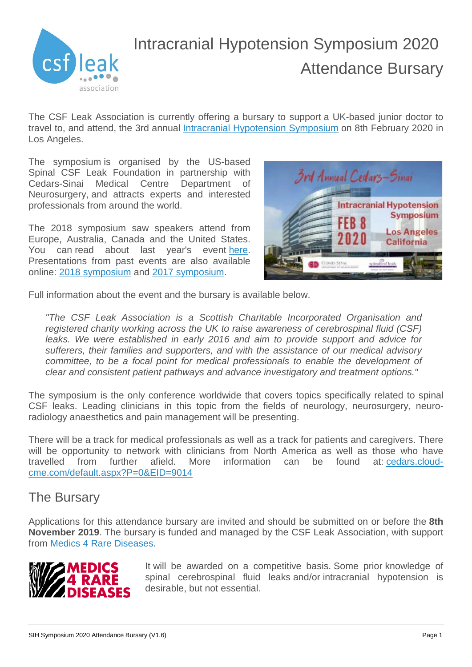

# Intracranial Hypotension Symposium 2020 Attendance Bursary

The CSF Leak Association is currently offering a bursary to support a UK-based junior doctor to travel to, and attend, the 3rd annual [Intracranial Hypotension Symposium](https://cedars.cloud-cme.com/default.aspx?P=0&EID=9014) on 8th February 2020 in Los Angeles.

The symposium is organised by the US-based Spinal CSF Leak Foundation in partnership with Cedars-Sinai Medical Centre Department of Neurosurgery, and attracts experts and interested professionals from around the world.

The 2018 symposium saw speakers attend from Europe, Australia, Canada and the United States. You can read about last year's event [here.](https://cedars.cloud-cme.com/default.aspx?P=5&EID=8072) Presentations from past events are also available online: 2018 [symposium](https://www.youtube.com/playlist?list=PLZKtOXlruVRfve2V5r1gGbr7EhdXQrEm5) and [2017 symposium.](https://www.youtube.com/playlist?list=PLZKtOXlruVRfEJCnIYhvpqxOyddOGS0I3)



Full information about the event and the bursary is available below.

*"The CSF Leak Association is a Scottish Charitable Incorporated Organisation and registered charity working across the UK to raise awareness of cerebrospinal fluid (CSF) leaks. We were established in early 2016 and aim to provide support and advice for sufferers, their families and supporters, and with the assistance of our medical advisory committee, to be a focal point for medical professionals to enable the development of clear and consistent patient pathways and advance investigatory and treatment options."*

The symposium is the only conference worldwide that covers topics specifically related to spinal CSF leaks. Leading clinicians in this topic from the fields of neurology, neurosurgery, neuroradiology anaesthetics and pain management will be presenting.

There will be a track for medical professionals as well as a track for patients and caregivers. There will be opportunity to network with clinicians from North America as well as those who have travelled from further afield. More information can be found at: [cedars.cloud](https://cedars.cloud-cme.com/default.aspx?P=0&EID=9014)[cme.com/default.aspx?P=0&EID=9014](https://cedars.cloud-cme.com/default.aspx?P=0&EID=9014)

## The Bursary

Applications for this attendance bursary are invited and should be submitted on or before the **8th November 2019**. The bursary is funded and managed by the CSF Leak Association, with support from [Medics 4 Rare Diseases.](https://www.m4rd.org/)



It will be awarded on a competitive basis. Some prior knowledge of spinal cerebrospinal fluid leaks and/or intracranial hypotension is desirable, but not essential.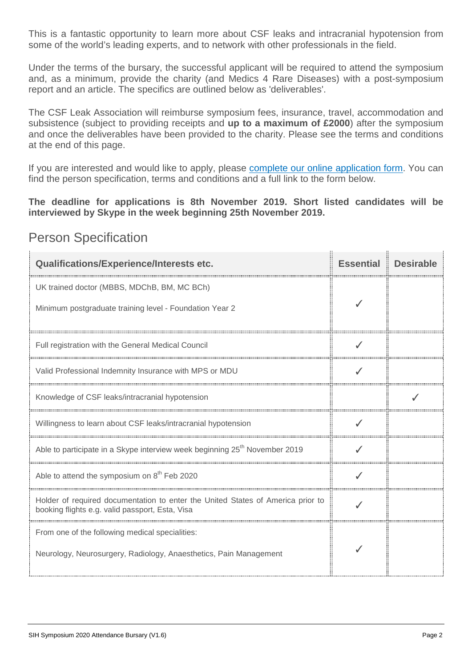This is a fantastic opportunity to learn more about CSF leaks and intracranial hypotension from some of the world's leading experts, and to network with other professionals in the field.

Under the terms of the bursary, the successful applicant will be required to attend the symposium and, as a minimum, provide the charity (and Medics 4 Rare Diseases) with a post-symposium report and an article. The specifics are outlined below as 'deliverables'.

The CSF Leak Association will reimburse symposium fees, insurance, travel, accommodation and subsistence (subject to providing receipts and **up to a maximum of £2000**) after the symposium and once the deliverables have been provided to the charity. Please see the terms and conditions at the end of this page.

If you are interested and would like to apply, please complete our [online application form.](https://www.csfleak.info/bursaries/intracranial-hypotension-symposium-2020/#IHS2020-Form) You can find the person specification, terms and conditions and a full link to the form below.

**The deadline for applications is 8th November 2019. Short listed candidates will be interviewed by Skype in the week beginning 25th November 2019.**

à.

 $\mathbf{a}$ 

| <b>Qualifications/Experience/Interests etc.</b>                                                                                    | <b>Essential</b> | <b>Desirable</b> |
|------------------------------------------------------------------------------------------------------------------------------------|------------------|------------------|
| UK trained doctor (MBBS, MDChB, BM, MC BCh)                                                                                        |                  |                  |
| Minimum postgraduate training level - Foundation Year 2                                                                            |                  |                  |
| Full registration with the General Medical Council                                                                                 |                  |                  |
| Valid Professional Indemnity Insurance with MPS or MDU                                                                             |                  |                  |
| Knowledge of CSF leaks/intracranial hypotension                                                                                    |                  |                  |
| Willingness to learn about CSF leaks/intracranial hypotension                                                                      |                  |                  |
| Able to participate in a Skype interview week beginning 25 <sup>th</sup> November 2019                                             |                  |                  |
| Able to attend the symposium on 8 <sup>th</sup> Feb 2020                                                                           |                  |                  |
| Holder of required documentation to enter the United States of America prior to<br>booking flights e.g. valid passport, Esta, Visa |                  |                  |
| From one of the following medical specialities:                                                                                    |                  |                  |
| Neurology, Neurosurgery, Radiology, Anaesthetics, Pain Management                                                                  |                  |                  |

#### Person Specification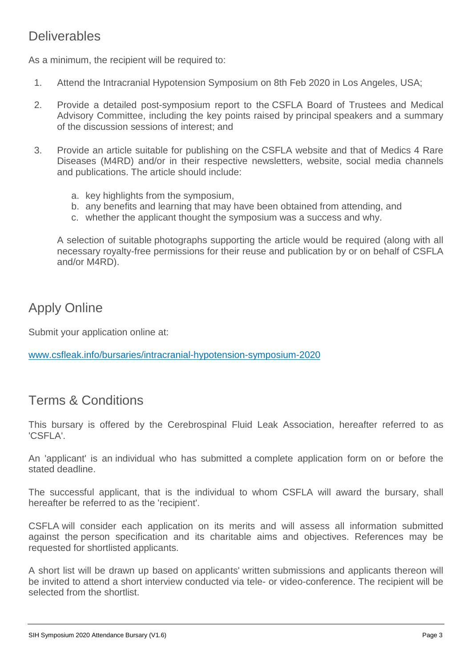## **Deliverables**

As a minimum, the recipient will be required to:

- 1. Attend the Intracranial Hypotension Symposium on 8th Feb 2020 in Los Angeles, USA;
- 2. Provide a detailed post-symposium report to the CSFLA Board of Trustees and Medical Advisory Committee, including the key points raised by principal speakers and a summary of the discussion sessions of interest; and
- 3. Provide an article suitable for publishing on the CSFLA website and that of Medics 4 Rare Diseases (M4RD) and/or in their respective newsletters, website, social media channels and publications. The article should include:
	- a. key highlights from the symposium,
	- b. any benefits and learning that may have been obtained from attending, and
	- c. whether the applicant thought the symposium was a success and why.

A selection of suitable photographs supporting the article would be required (along with all necessary royalty-free permissions for their reuse and publication by or on behalf of CSFLA and/or M4RD).

## Apply Online

Submit your application online at:

[www.csfleak.info/bursaries/intracranial-hypotension-symposium-2020](http://www.csfleak.info/bursaries/intracranial-hypotension-symposium-2020)

## Terms & Conditions

This bursary is offered by the Cerebrospinal Fluid Leak Association, hereafter referred to as 'CSFLA'.

An 'applicant' is an individual who has submitted a complete application form on or before the stated deadline.

The successful applicant, that is the individual to whom CSFLA will award the bursary, shall hereafter be referred to as the 'recipient'.

CSFLA will consider each application on its merits and will assess all information submitted against the person specification and its charitable aims and objectives. References may be requested for shortlisted applicants.

A short list will be drawn up based on applicants' written submissions and applicants thereon will be invited to attend a short interview conducted via tele- or video-conference. The recipient will be selected from the shortlist.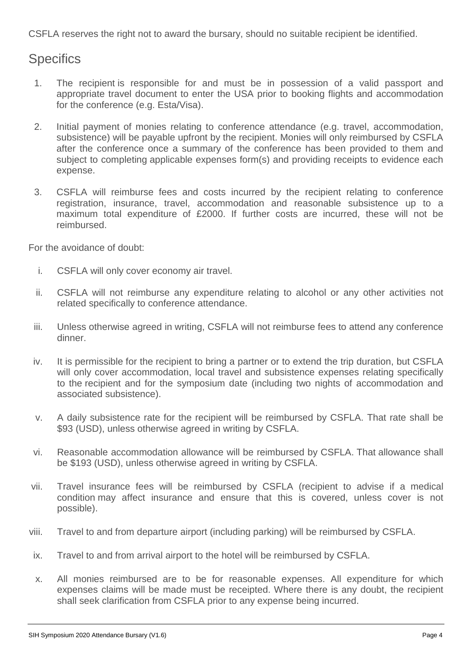CSFLA reserves the right not to award the bursary, should no suitable recipient be identified.

## **Specifics**

- 1. The recipient is responsible for and must be in possession of a valid passport and appropriate travel document to enter the USA prior to booking flights and accommodation for the conference (e.g. Esta/Visa).
- 2. Initial payment of monies relating to conference attendance (e.g. travel, accommodation, subsistence) will be payable upfront by the recipient. Monies will only reimbursed by CSFLA after the conference once a summary of the conference has been provided to them and subject to completing applicable expenses form(s) and providing receipts to evidence each expense.
- 3. CSFLA will reimburse fees and costs incurred by the recipient relating to conference registration, insurance, travel, accommodation and reasonable subsistence up to a maximum total expenditure of £2000. If further costs are incurred, these will not be reimbursed.

For the avoidance of doubt:

- i. CSFLA will only cover economy air travel.
- ii. CSFLA will not reimburse any expenditure relating to alcohol or any other activities not related specifically to conference attendance.
- iii. Unless otherwise agreed in writing, CSFLA will not reimburse fees to attend any conference dinner.
- iv. It is permissible for the recipient to bring a partner or to extend the trip duration, but CSFLA will only cover accommodation, local travel and subsistence expenses relating specifically to the recipient and for the symposium date (including two nights of accommodation and associated subsistence).
- v. A daily subsistence rate for the recipient will be reimbursed by CSFLA. That rate shall be \$93 (USD), unless otherwise agreed in writing by CSFLA.
- vi. Reasonable accommodation allowance will be reimbursed by CSFLA. That allowance shall be \$193 (USD), unless otherwise agreed in writing by CSFLA.
- vii. Travel insurance fees will be reimbursed by CSFLA (recipient to advise if a medical condition may affect insurance and ensure that this is covered, unless cover is not possible).
- viii. Travel to and from departure airport (including parking) will be reimbursed by CSFLA.
- ix. Travel to and from arrival airport to the hotel will be reimbursed by CSFLA.
- x. All monies reimbursed are to be for reasonable expenses. All expenditure for which expenses claims will be made must be receipted. Where there is any doubt, the recipient shall seek clarification from CSFLA prior to any expense being incurred.